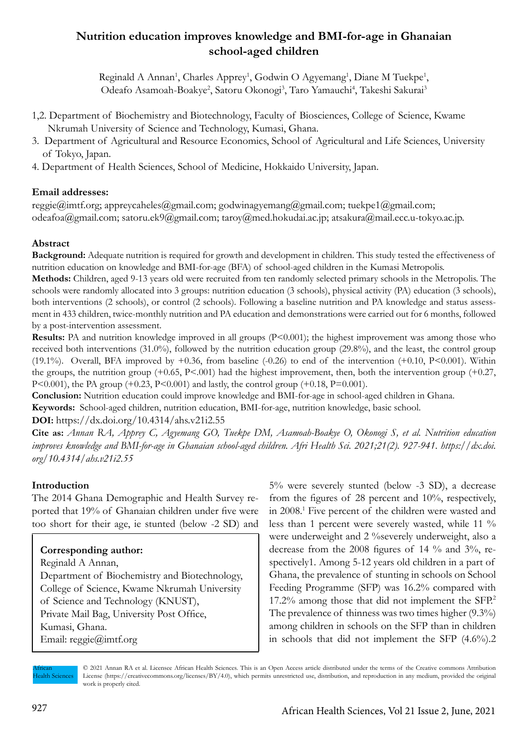# **Nutrition education improves knowledge and BMI-for-age in Ghanaian school-aged children**

Reginald A Annan<sup>1</sup>, Charles Apprey<sup>1</sup>, Godwin O Agyemang<sup>1</sup>, Diane M Tuekpe<sup>1</sup>, Odeafo Asamoah-Boakye<sup>2</sup>, Satoru Okonogi<sup>3</sup>, Taro Yamauchi<sup>4</sup>, Takeshi Sakurai<sup>3</sup>

- 1,2. Department of Biochemistry and Biotechnology, Faculty of Biosciences, College of Science, Kwame Nkrumah University of Science and Technology, Kumasi, Ghana.
- 3. Department of Agricultural and Resource Economics, School of Agricultural and Life Sciences, University of Tokyo, Japan.
- 4. Department of Health Sciences, School of Medicine, Hokkaido University, Japan.

## **Email addresses:**

reggie@imtf.org; appreycaheles@gmail.com; godwinagyemang@gmail.com; tuekpe1@gmail.com; odeafoa@gmail.com; satoru.ek9@gmail.com; taroy@med.hokudai.ac.jp; atsakura@mail.ecc.u-tokyo.ac.jp.

## **Abstract**

**Background:** Adequate nutrition is required for growth and development in children. This study tested the effectiveness of nutrition education on knowledge and BMI-for-age (BFA) of school-aged children in the Kumasi Metropolis.

**Methods:** Children, aged 9-13 years old were recruited from ten randomly selected primary schools in the Metropolis. The schools were randomly allocated into 3 groups: nutrition education (3 schools), physical activity (PA) education (3 schools), both interventions (2 schools), or control (2 schools). Following a baseline nutrition and PA knowledge and status assessment in 433 children, twice-monthly nutrition and PA education and demonstrations were carried out for 6 months, followed by a post-intervention assessment.

**Results:** PA and nutrition knowledge improved in all groups (P<0.001); the highest improvement was among those who received both interventions (31.0%), followed by the nutrition education group (29.8%), and the least, the control group (19.1%). Overall, BFA improved by  $+0.36$ , from baseline (-0.26) to end of the intervention (+0.10, P<0.001). Within the groups, the nutrition group  $(+0.65, P<.001)$  had the highest improvement, then, both the intervention group  $(+0.27, P<.001)$ P<0.001), the PA group (+0.23, P<0.001) and lastly, the control group (+0.18, P=0.001).

**Conclusion:** Nutrition education could improve knowledge and BMI-for-age in school-aged children in Ghana.

**Keywords:** School-aged children, nutrition education, BMI-for-age, nutrition knowledge, basic school.

### **DOI:** https://dx.doi.org/10.4314/ahs.v21i2.55

**Cite as:** *Annan RA, Apprey C, Agyemang GO, Tuekpe DM, Asamoah-Boakye O, Okonogi S, et al. Nutrition education improves knowledge and BMI-for-age in Ghanaian school-aged children. Afri Health Sci. 2021;21(2). 927-941. https://dx.doi. org/10.4314/ahs.v21i2.55*

## **Introduction**

The 2014 Ghana Demographic and Health Survey reported that 19% of Ghanaian children under five were too short for their age, ie stunted (below -2 SD) and

## **Corresponding author:**

Reginald A Annan, Department of Biochemistry and Biotechnology, College of Science, Kwame Nkrumah University of Science and Technology (KNUST), Private Mail Bag, University Post Office, Kumasi, Ghana. Email: reggie@imtf.org

5% were severely stunted (below -3 SD), a decrease from the figures of 28 percent and 10%, respectively, in 2008.1 Five percent of the children were wasted and less than 1 percent were severely wasted, while 11 % were underweight and 2 %severely underweight, also a decrease from the 2008 figures of 14 % and 3%, respectively1. Among 5-12 years old children in a part of Ghana, the prevalence of stunting in schools on School Feeding Programme (SFP) was 16.2% compared with 17.2% among those that did not implement the SFP.2 The prevalence of thinness was two times higher (9.3%) among children in schools on the SFP than in children in schools that did not implement the SFP (4.6%).2

African Health Sciences

© 2021 Annan RA et al. Licensee African Health Sciences. This is an Open Access article distributed under the terms of the Creative commons Attribution License (https://creativecommons.org/licenses/BY/4.0), which permits unrestricted use, distribution, and reproduction in any medium, provided the original work is properly cited.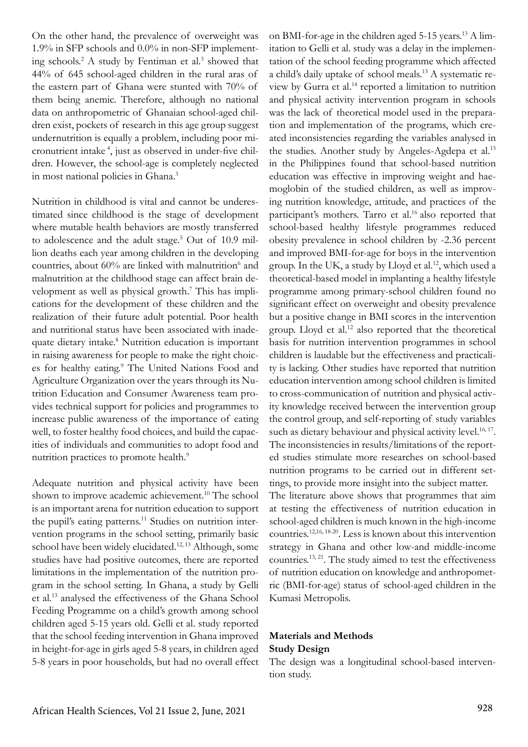On the other hand, the prevalence of overweight was 1.9% in SFP schools and 0.0% in non-SFP implementing schools.<sup>2</sup> A study by Fentiman et al.<sup>3</sup> showed that 44% of 645 school-aged children in the rural aras of the eastern part of Ghana were stunted with 70% of them being anemic. Therefore, although no national data on anthropometric of Ghanaian school-aged children exist, pockets of research in this age group suggest undernutrition is equally a problem, including poor micronutrient intake 4, just as observed in under-five children. However, the school-age is completely neglected in most national policies in Ghana.<sup>3</sup>

Nutrition in childhood is vital and cannot be underestimated since childhood is the stage of development where mutable health behaviors are mostly transferred to adolescence and the adult stage.<sup>5</sup> Out of 10.9 million deaths each year among children in the developing countries, about 60% are linked with malnutrition<sup>6</sup> and malnutrition at the childhood stage can affect brain development as well as physical growth.<sup>7</sup> This has implications for the development of these children and the realization of their future adult potential. Poor health and nutritional status have been associated with inadequate dietary intake.<sup>8</sup> Nutrition education is important in raising awareness for people to make the right choices for healthy eating.<sup>9</sup> The United Nations Food and Agriculture Organization over the years through its Nutrition Education and Consumer Awareness team provides technical support for policies and programmes to increase public awareness of the importance of eating well, to foster healthy food choices, and build the capacities of individuals and communities to adopt food and nutrition practices to promote health.<sup>9</sup>

Adequate nutrition and physical activity have been shown to improve academic achievement.<sup>10</sup> The school is an important arena for nutrition education to support the pupil's eating patterns.<sup>11</sup> Studies on nutrition intervention programs in the school setting, primarily basic school have been widely elucidated.<sup>12, 13</sup> Although, some studies have had positive outcomes, there are reported limitations in the implementation of the nutrition program in the school setting. In Ghana, a study by Gelli et al.13 analysed the effectiveness of the Ghana School Feeding Programme on a child's growth among school children aged 5-15 years old. Gelli et al. study reported that the school feeding intervention in Ghana improved in height-for-age in girls aged 5-8 years, in children aged 5-8 years in poor households, but had no overall effect

on BMI-for-age in the children aged 5-15 years.13 A limitation to Gelli et al. study was a delay in the implementation of the school feeding programme which affected a child's daily uptake of school meals.13 A systematic review by Gurra et al.14 reported a limitation to nutrition and physical activity intervention program in schools was the lack of theoretical model used in the preparation and implementation of the programs, which created inconsistencies regarding the variables analysed in the studies. Another study by Angeles-Agdepa et al.<sup>15</sup> in the Philippines found that school-based nutrition education was effective in improving weight and haemoglobin of the studied children, as well as improving nutrition knowledge, attitude, and practices of the participant's mothers. Tarro et al.<sup>16</sup> also reported that school-based healthy lifestyle programmes reduced obesity prevalence in school children by -2.36 percent and improved BMI-for-age for boys in the intervention group. In the UK, a study by Lloyd et al.<sup>12</sup>, which used a theoretical-based model in implanting a healthy lifestyle programme among primary-school children found no significant effect on overweight and obesity prevalence but a positive change in BMI scores in the intervention group. Lloyd et al.<sup>12</sup> also reported that the theoretical basis for nutrition intervention programmes in school children is laudable but the effectiveness and practicality is lacking. Other studies have reported that nutrition education intervention among school children is limited to cross-communication of nutrition and physical activity knowledge received between the intervention group the control group, and self-reporting of study variables such as dietary behaviour and physical activity level.<sup>16, 17</sup>. The inconsistencies in results/limitations of the reported studies stimulate more researches on school-based nutrition programs to be carried out in different settings, to provide more insight into the subject matter. The literature above shows that programmes that aim at testing the effectiveness of nutrition education in school-aged children is much known in the high-income countries.12,16, 18-20. Less is known about this intervention strategy in Ghana and other low-and middle-income countries.13, 21. The study aimed to test the effectiveness of nutrition education on knowledge and anthropometric (BMI-for-age) status of school-aged children in the Kumasi Metropolis.

## **Materials and Methods Study Design**

The design was a longitudinal school-based intervention study.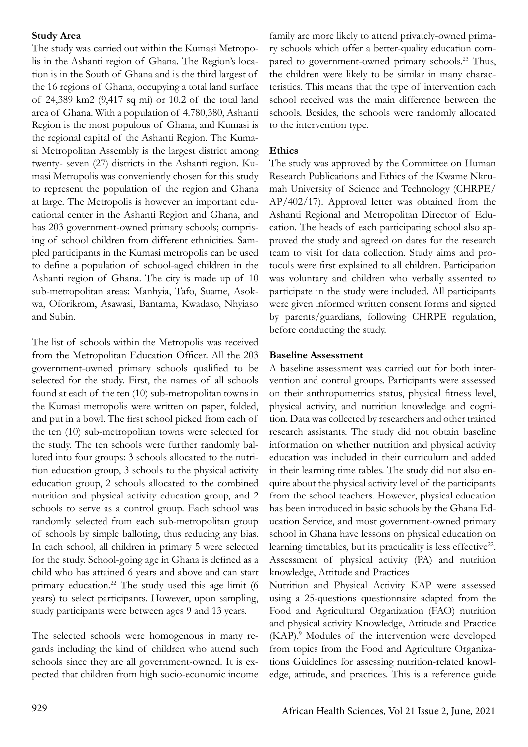### **Study Area**

The study was carried out within the Kumasi Metropolis in the Ashanti region of Ghana. The Region's location is in the South of Ghana and is the third largest of the 16 regions of Ghana, occupying a total land surface of 24,389 km2 (9,417 sq mi) or 10.2 of the total land area of Ghana. With a population of 4.780,380, Ashanti Region is the most populous of Ghana, and Kumasi is the regional capital of the Ashanti Region. The Kumasi Metropolitan Assembly is the largest district among twenty- seven (27) districts in the Ashanti region. Kumasi Metropolis was conveniently chosen for this study to represent the population of the region and Ghana at large. The Metropolis is however an important educational center in the Ashanti Region and Ghana, and has 203 government-owned primary schools; comprising of school children from different ethnicities. Sampled participants in the Kumasi metropolis can be used to define a population of school-aged children in the Ashanti region of Ghana. The city is made up of 10 sub-metropolitan areas: Manhyia, Tafo, Suame, Asokwa, Oforikrom, Asawasi, Bantama, Kwadaso, Nhyiaso and Subin.

The list of schools within the Metropolis was received from the Metropolitan Education Officer. All the 203 government-owned primary schools qualified to be selected for the study. First, the names of all schools found at each of the ten (10) sub-metropolitan towns in the Kumasi metropolis were written on paper, folded, and put in a bowl. The first school picked from each of the ten (10) sub-metropolitan towns were selected for the study. The ten schools were further randomly balloted into four groups: 3 schools allocated to the nutrition education group, 3 schools to the physical activity education group, 2 schools allocated to the combined nutrition and physical activity education group, and 2 schools to serve as a control group. Each school was randomly selected from each sub-metropolitan group of schools by simple balloting, thus reducing any bias. In each school, all children in primary 5 were selected for the study. School-going age in Ghana is defined as a child who has attained 6 years and above and can start primary education.<sup>22</sup> The study used this age limit (6) years) to select participants. However, upon sampling, study participants were between ages 9 and 13 years.

The selected schools were homogenous in many regards including the kind of children who attend such schools since they are all government-owned. It is expected that children from high socio-economic income

family are more likely to attend privately-owned primary schools which offer a better-quality education compared to government-owned primary schools.<sup>23</sup> Thus, the children were likely to be similar in many characteristics. This means that the type of intervention each school received was the main difference between the schools. Besides, the schools were randomly allocated to the intervention type.

### **Ethics**

The study was approved by the Committee on Human Research Publications and Ethics of the Kwame Nkrumah University of Science and Technology (CHRPE/ AP/402/17). Approval letter was obtained from the Ashanti Regional and Metropolitan Director of Education. The heads of each participating school also approved the study and agreed on dates for the research team to visit for data collection. Study aims and protocols were first explained to all children. Participation was voluntary and children who verbally assented to participate in the study were included. All participants were given informed written consent forms and signed by parents/guardians, following CHRPE regulation, before conducting the study.

### **Baseline Assessment**

A baseline assessment was carried out for both intervention and control groups. Participants were assessed on their anthropometrics status, physical fitness level, physical activity, and nutrition knowledge and cognition. Data was collected by researchers and other trained research assistants. The study did not obtain baseline information on whether nutrition and physical activity education was included in their curriculum and added in their learning time tables. The study did not also enquire about the physical activity level of the participants from the school teachers. However, physical education has been introduced in basic schools by the Ghana Education Service, and most government-owned primary school in Ghana have lessons on physical education on learning timetables, but its practicality is less effective<sup>22</sup>. Assessment of physical activity (PA) and nutrition knowledge, Attitude and Practices

Nutrition and Physical Activity KAP were assessed using a 25-questions questionnaire adapted from the Food and Agricultural Organization (FAO) nutrition and physical activity Knowledge, Attitude and Practice (KAP).<sup>9</sup> Modules of the intervention were developed from topics from the Food and Agriculture Organizations Guidelines for assessing nutrition-related knowledge, attitude, and practices. This is a reference guide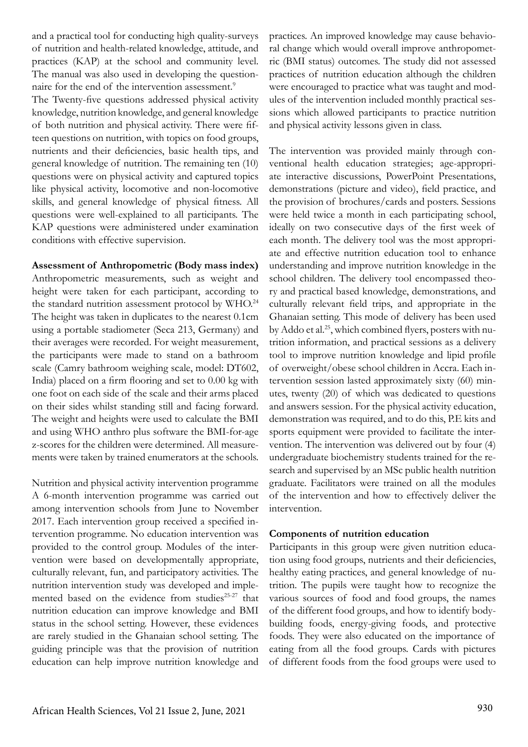and a practical tool for conducting high quality-surveys of nutrition and health-related knowledge, attitude, and practices (KAP) at the school and community level. The manual was also used in developing the questionnaire for the end of the intervention assessment.<sup>9</sup>

The Twenty-five questions addressed physical activity knowledge, nutrition knowledge, and general knowledge of both nutrition and physical activity. There were fifteen questions on nutrition, with topics on food groups, nutrients and their deficiencies, basic health tips, and general knowledge of nutrition. The remaining ten (10) questions were on physical activity and captured topics like physical activity, locomotive and non-locomotive skills, and general knowledge of physical fitness. All questions were well-explained to all participants. The KAP questions were administered under examination conditions with effective supervision.

**Assessment of Anthropometric (Body mass index)** Anthropometric measurements, such as weight and height were taken for each participant, according to the standard nutrition assessment protocol by WHO.24 The height was taken in duplicates to the nearest 0.1cm using a portable stadiometer (Seca 213, Germany) and their averages were recorded. For weight measurement, the participants were made to stand on a bathroom scale (Camry bathroom weighing scale, model: DT602, India) placed on a firm flooring and set to 0.00 kg with one foot on each side of the scale and their arms placed on their sides whilst standing still and facing forward. The weight and heights were used to calculate the BMI and using WHO anthro plus software the BMI-for-age z-scores for the children were determined. All measurements were taken by trained enumerators at the schools.

Nutrition and physical activity intervention programme A 6-month intervention programme was carried out among intervention schools from June to November 2017. Each intervention group received a specified intervention programme. No education intervention was provided to the control group. Modules of the intervention were based on developmentally appropriate, culturally relevant, fun, and participatory activities. The nutrition intervention study was developed and implemented based on the evidence from studies<sup>25-27</sup> that nutrition education can improve knowledge and BMI status in the school setting. However, these evidences are rarely studied in the Ghanaian school setting. The guiding principle was that the provision of nutrition education can help improve nutrition knowledge and

practices. An improved knowledge may cause behavioral change which would overall improve anthropometric (BMI status) outcomes. The study did not assessed practices of nutrition education although the children were encouraged to practice what was taught and modules of the intervention included monthly practical sessions which allowed participants to practice nutrition and physical activity lessons given in class.

The intervention was provided mainly through conventional health education strategies; age-appropriate interactive discussions, PowerPoint Presentations, demonstrations (picture and video), field practice, and the provision of brochures/cards and posters. Sessions were held twice a month in each participating school, ideally on two consecutive days of the first week of each month. The delivery tool was the most appropriate and effective nutrition education tool to enhance understanding and improve nutrition knowledge in the school children. The delivery tool encompassed theory and practical based knowledge, demonstrations, and culturally relevant field trips, and appropriate in the Ghanaian setting. This mode of delivery has been used by Addo et al.<sup>25</sup>, which combined flyers, posters with nutrition information, and practical sessions as a delivery tool to improve nutrition knowledge and lipid profile of overweight/obese school children in Accra. Each intervention session lasted approximately sixty (60) minutes, twenty (20) of which was dedicated to questions and answers session. For the physical activity education, demonstration was required, and to do this, P.E kits and sports equipment were provided to facilitate the intervention. The intervention was delivered out by four (4) undergraduate biochemistry students trained for the research and supervised by an MSc public health nutrition graduate. Facilitators were trained on all the modules of the intervention and how to effectively deliver the intervention.

### **Components of nutrition education**

Participants in this group were given nutrition education using food groups, nutrients and their deficiencies, healthy eating practices, and general knowledge of nutrition. The pupils were taught how to recognize the various sources of food and food groups, the names of the different food groups, and how to identify bodybuilding foods, energy-giving foods, and protective foods. They were also educated on the importance of eating from all the food groups. Cards with pictures of different foods from the food groups were used to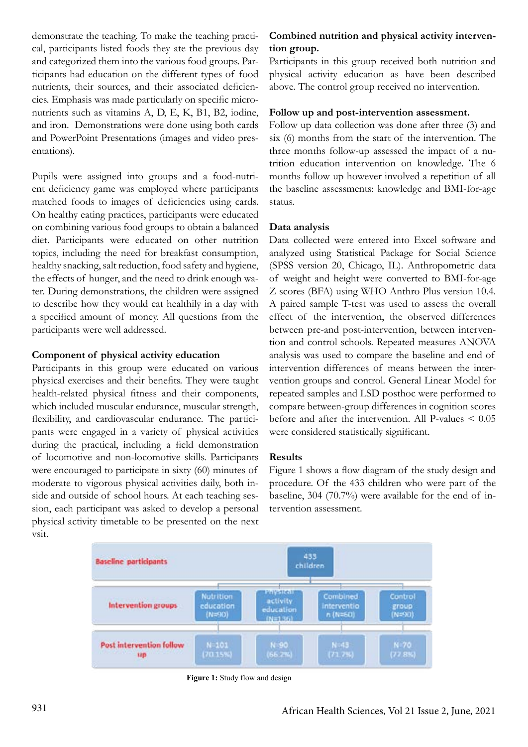demonstrate the teaching. To make the teaching practical, participants listed foods they ate the previous day and categorized them into the various food groups. Participants had education on the different types of food nutrients, their sources, and their associated deficiencies. Emphasis was made particularly on specific micronutrients such as vitamins A, D, E, K, B1, B2, iodine, and iron. Demonstrations were done using both cards and PowerPoint Presentations (images and video presentations).

Pupils were assigned into groups and a food-nutrient deficiency game was employed where participants matched foods to images of deficiencies using cards. On healthy eating practices, participants were educated on combining various food groups to obtain a balanced diet. Participants were educated on other nutrition topics, including the need for breakfast consumption, healthy snacking, salt reduction, food safety and hygiene, the effects of hunger, and the need to drink enough water. During demonstrations, the children were assigned to describe how they would eat healthily in a day with a specified amount of money. All questions from the participants were well addressed.

### **Component of physical activity education**

Participants in this group were educated on various physical exercises and their benefits. They were taught health-related physical fitness and their components, which included muscular endurance, muscular strength, flexibility, and cardiovascular endurance. The participants were engaged in a variety of physical activities during the practical, including a field demonstration of locomotive and non-locomotive skills. Participants were encouraged to participate in sixty (60) minutes of moderate to vigorous physical activities daily, both inside and outside of school hours. At each teaching session, each participant was asked to develop a personal physical activity timetable to be presented on the next vsit.

# **Combined nutrition and physical activity intervention group.**

Participants in this group received both nutrition and physical activity education as have been described above. The control group received no intervention.

## **Follow up and post-intervention assessment.**

Follow up data collection was done after three (3) and six (6) months from the start of the intervention. The three months follow-up assessed the impact of a nutrition education intervention on knowledge. The 6 months follow up however involved a repetition of all the baseline assessments: knowledge and BMI-for-age status.

### **Data analysis**

Data collected were entered into Excel software and analyzed using Statistical Package for Social Science (SPSS version 20, Chicago, IL). Anthropometric data of weight and height were converted to BMI-for-age Z scores (BFA) using WHO Anthro Plus version 10.4. A paired sample T-test was used to assess the overall effect of the intervention, the observed differences between pre-and post-intervention, between intervention and control schools. Repeated measures ANOVA analysis was used to compare the baseline and end of intervention differences of means between the intervention groups and control. General Linear Model for repeated samples and LSD posthoc were performed to compare between-group differences in cognition scores before and after the intervention. All P-values < 0.05 were considered statistically significant.

#### **Results**

Figure 1 shows a flow diagram of the study design and procedure. Of the 433 children who were part of the baseline, 304 (70.7%) were available for the end of intervention assessment.



**Figure 1:** Study flow and design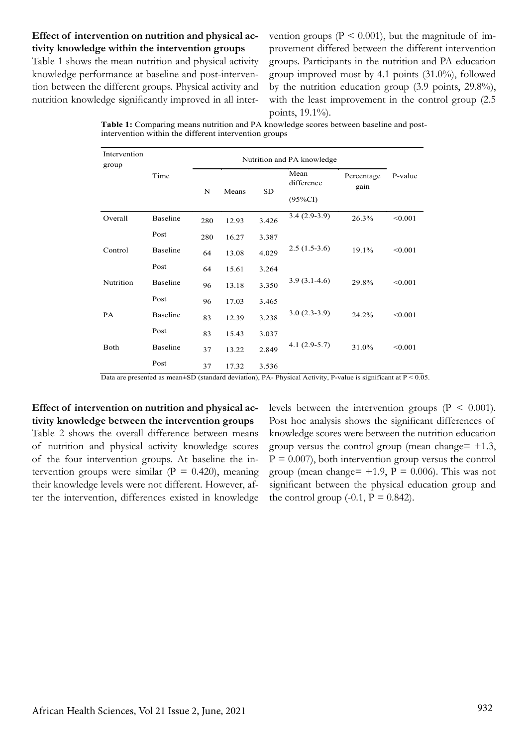## **Effect of intervention on nutrition and physical activity knowledge within the intervention groups**

Table 1 shows the mean nutrition and physical activity knowledge performance at baseline and post-intervention between the different groups. Physical activity and nutrition knowledge significantly improved in all inter-

vention groups ( $P \le 0.001$ ), but the magnitude of improvement differed between the different intervention groups. Participants in the nutrition and PA education group improved most by 4.1 points (31.0%), followed by the nutrition education group (3.9 points, 29.8%), with the least improvement in the control group (2.5 points, 19.1%).

| <b>Table 1:</b> Comparing means nutrition and PA knowledge scores between baseline and post- |
|----------------------------------------------------------------------------------------------|
| intervention within the different intervention groups                                        |

| Intervention<br>group |          |     |            |       |                    |                    |         |
|-----------------------|----------|-----|------------|-------|--------------------|--------------------|---------|
|                       | Time     |     | N<br>Means |       | Mean<br>difference | Percentage<br>gain | P-value |
|                       |          |     |            |       | $(95\%CI)$         |                    |         |
| Overall               | Baseline | 280 | 12.93      | 3.426 | $3.4(2.9-3.9)$     | 26.3%              | < 0.001 |
|                       | Post     | 280 | 16.27      | 3.387 |                    |                    |         |
| Control               | Baseline | 64  | 13.08      | 4.029 | $2.5(1.5-3.6)$     | 19.1%              | < 0.001 |
|                       | Post     | 64  | 15.61      | 3.264 |                    |                    |         |
| Nutrition             | Baseline | 96  | 13.18      | 3.350 | $3.9(3.1-4.6)$     | 29.8%              | < 0.001 |
|                       | Post     | 96  | 17.03      | 3.465 |                    |                    |         |
| <b>PA</b>             | Baseline | 83  | 12.39      | 3.238 | $3.0(2.3-3.9)$     | 24.2%              | < 0.001 |
|                       | Post     | 83  | 15.43      | 3.037 |                    |                    |         |
| Both                  | Baseline | 37  | 13.22      | 2.849 | $4.1(2.9-5.7)$     | 31.0%              | < 0.001 |
|                       | Post     | 37  | 17.32      | 3.536 |                    |                    |         |

Data are presented as mean $\pm$ SD (standard deviation), PA- Physical Activity, P-value is significant at P < 0.05.

## **Effect of intervention on nutrition and physical activity knowledge between the intervention groups**

Table 2 shows the overall difference between means of nutrition and physical activity knowledge scores of the four intervention groups. At baseline the intervention groups were similar ( $P = 0.420$ ), meaning their knowledge levels were not different. However, after the intervention, differences existed in knowledge levels between the intervention groups  $(P < 0.001)$ . Post hoc analysis shows the significant differences of knowledge scores were between the nutrition education group versus the control group (mean change=  $+1.3$ ,  $P = 0.007$ , both intervention group versus the control group (mean change=  $+1.9$ ,  $P = 0.006$ ). This was not significant between the physical education group and the control group  $(-0.1, P = 0.842)$ .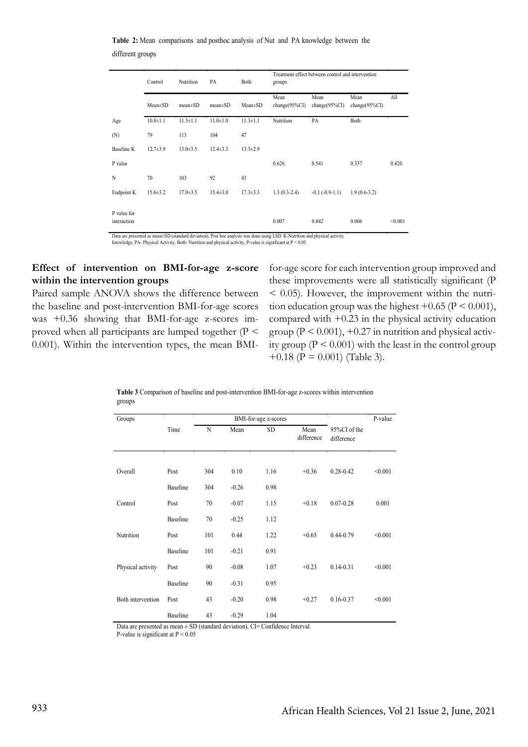**Table 2:** Mean comparisons and posthoc analysis of Nut and PA knowledge between the different groups

|                            | Control        | Nutrition      | PA             | Both           | Treatment effect between control and intervention<br>groups |                           |                           |         |
|----------------------------|----------------|----------------|----------------|----------------|-------------------------------------------------------------|---------------------------|---------------------------|---------|
|                            | $Mean \pm SD$  | $mean \pm SD$  | $mean \pm SD$  | $Mean \pm SD$  | Mean<br>change $(95\%CI)$                                   | Mean<br>change $(95\%CI)$ | Mean<br>change $(95\%CI)$ | All     |
| Age                        | $10.8 \pm 1.1$ | $11.3 \pm 1.1$ | $11.0 \pm 1.0$ | $11.3 \pm 1.1$ | Nutrition                                                   | PA                        | Both                      |         |
| (N)                        | 79             | 113            | 104            | 47             |                                                             |                           |                           |         |
| Baseline K                 | $12.7 \pm 3.9$ | $13.0 \pm 3.5$ | $12.4 \pm 3.3$ | $13.3 \pm 2.9$ |                                                             |                           |                           |         |
| P value                    |                |                |                |                | 0.626                                                       | 0.541                     | 0.337                     | 0.420   |
| N                          | 70             | 103            | 92             | 43             |                                                             |                           |                           |         |
| Endpoint K                 | $15.6 \pm 3.2$ | $17.0 \pm 3.5$ | $15.4 \pm 3.0$ | $17.3 \pm 3.3$ | $1.3(0.3-2.4)$                                              | $-0.1$ $(-0.9-1.1)$       | $1.9(0.6-3.2)$            |         |
| P value for<br>interaction |                |                |                |                | 0.007                                                       | 0.842                     | 0.006                     | < 0.001 |

Data are presented as mean±SD (standard deviation), Post hoc analysis was done using LSD. K-Nutrition and physical activity knowledge, PA- Physical Activity, Both- Nutrition and physical activity, P-value is significant at P < 0.05

### **Effect of intervention on BMI-for-age z-score within the intervention groups**

Paired sample ANOVA shows the difference between the baseline and post-intervention BMI-for-age scores was +0.36 showing that BMI-for-age z-scores improved when all participants are lumped together (P < 0.001). Within the intervention types, the mean BMI-

for-age score for each intervention group improved and these improvements were all statistically significant (P  $<$  0.05). However, the improvement within the nutrition education group was the highest  $+0.65$  ( $P < 0.001$ ), compared with  $+0.23$  in the physical activity education group  $(P < 0.001)$ , +0.27 in nutrition and physical activity group ( $P \le 0.001$ ) with the least in the control group  $+0.18$  (P = 0.001) (Table 3).

| Groups            |                 | BMI-for-age z-scores |         |           |                    |                            | P-value |
|-------------------|-----------------|----------------------|---------|-----------|--------------------|----------------------------|---------|
|                   | Time            | N                    | Mean    | <b>SD</b> | Mean<br>difference | 95%CI of the<br>difference |         |
| Overall           | Post            | 304                  | 0.10    | 1.16      | $+0.36$            | $0.28 - 0.42$              | < 0.001 |
|                   | <b>Baseline</b> | 304                  | $-0.26$ | 0.98      |                    |                            |         |
| Control           | Post            | 70                   | $-0.07$ | 1.15      | $+0.18$            | $0.07 - 0.28$              | 0.001   |
|                   | <b>Baseline</b> | 70                   | $-0.25$ | 1.12      |                    |                            |         |
| Nutrition         | Post            | 101                  | 0.44    | 1.22      | $+0.65$            | $0.44 - 0.79$              | < 0.001 |
|                   | <b>Baseline</b> | 101                  | $-0.21$ | 0.91      |                    |                            |         |
| Physical activity | Post            | 90                   | $-0.08$ | 1.07      | $+0.23$            | $0.14 - 0.31$              | < 0.001 |
|                   | <b>Baseline</b> | 90                   | $-0.31$ | 0.95      |                    |                            |         |
| Both intervention | Post            | 43                   | $-0.20$ | 0.98      | $+0.27$            | $0.16 - 0.37$              | < 0.001 |
|                   | <b>Baseline</b> | 43                   | $-0.29$ | 1.04      |                    |                            |         |

**Table 3** Comparison of baseline and post-intervention BMI-for-age z-scores within intervention groups

Data are presented as mean  $\pm$  SD (standard deviation), CI= Confidence Interval.

P-value is significant at P < 0.05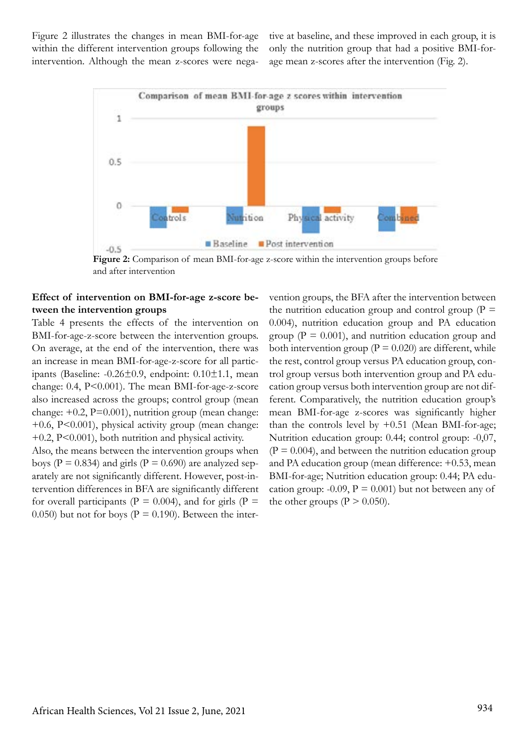Figure 2 illustrates the changes in mean BMI-for-age within the different intervention groups following the intervention. Although the mean z-scores were negative at baseline, and these improved in each group, it is only the nutrition group that had a positive BMI-forage mean z-scores after the intervention (Fig. 2).



**Figure 2:** Comparison of mean BMI-for-age z-score within the intervention groups before and after intervention

## **Effect of intervention on BMI-for-age z-score between the intervention groups**

Table 4 presents the effects of the intervention on BMI-for-age-z-score between the intervention groups. On average, at the end of the intervention, there was an increase in mean BMI-for-age-z-score for all participants (Baseline: -0.26±0.9, endpoint: 0.10±1.1, mean change: 0.4, P<0.001). The mean BMI-for-age-z-score also increased across the groups; control group (mean change:  $+0.2$ ,  $P=0.001$ ), nutrition group (mean change: +0.6, P<0.001), physical activity group (mean change: +0.2, P<0.001), both nutrition and physical activity.

Also, the means between the intervention groups when boys ( $P = 0.834$ ) and girls ( $P = 0.690$ ) are analyzed separately are not significantly different. However, post-intervention differences in BFA are significantly different for overall participants ( $P = 0.004$ ), and for girls ( $P =$ 0.050) but not for boys ( $P = 0.190$ ). Between the intervention groups, the BFA after the intervention between the nutrition education group and control group ( $P =$ 0.004), nutrition education group and PA education group ( $P = 0.001$ ), and nutrition education group and both intervention group ( $P = 0.020$ ) are different, while the rest, control group versus PA education group, control group versus both intervention group and PA education group versus both intervention group are not different. Comparatively, the nutrition education group's mean BMI-for-age z-scores was significantly higher than the controls level by  $+0.51$  (Mean BMI-for-age; Nutrition education group: 0.44; control group: -0,07,  $(P = 0.004)$ , and between the nutrition education group and PA education group (mean difference: +0.53, mean BMI-for-age; Nutrition education group: 0.44; PA education group: -0.09,  $P = 0.001$ ) but not between any of the other groups ( $P > 0.050$ ).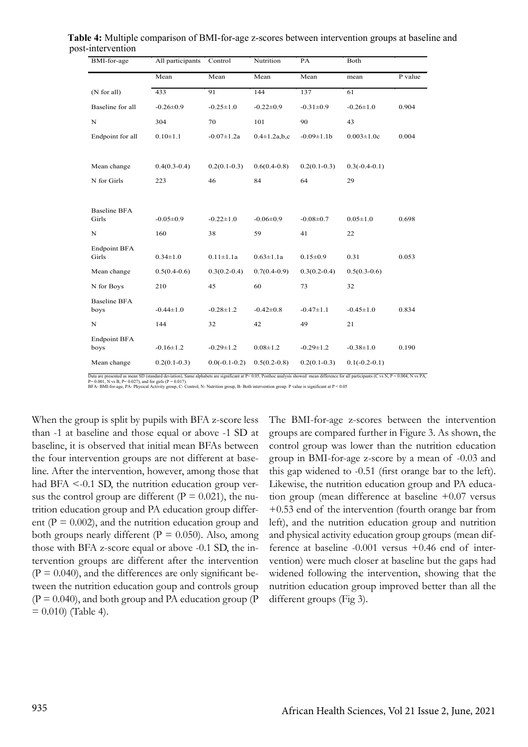| BMI-for-age                  | All participants | Control          | Nutrition           | PA              | Both             |         |
|------------------------------|------------------|------------------|---------------------|-----------------|------------------|---------|
|                              | Mean             | Mean             | Mean                | Mean            | mean             | P value |
| (N for all)                  | 433              | 91               | 144                 | 137             | 61               |         |
| Baseline for all             | $-0.26 \pm 0.9$  | $-0.25 \pm 1.0$  | $-0.22 \pm 0.9$     | $-0.31 \pm 0.9$ | $-0.26 \pm 1.0$  | 0.904   |
| $\mathbf N$                  | 304              | 70               | 101                 | 90              | 43               |         |
| Endpoint for all             | $0.10 \pm 1.1$   | $-0.07 \pm 1.2a$ | $0.4 \pm 1.2$ a,b,c | $-0.09 \pm 1.1$ | $0.003 \pm 1.0c$ | 0.004   |
| Mean change                  | $0.4(0.3-0.4)$   | $0.2(0.1-0.3)$   | $0.6(0.4-0.8)$      | $0.2(0.1-0.3)$  | $0.3(-0.4-0.1)$  |         |
| N for Girls                  | 223              | 46               | 84                  | 64              | 29               |         |
| <b>Baseline BFA</b><br>Girls | $-0.05 \pm 0.9$  | $-0.22 \pm 1.0$  | $-0.06 \pm 0.9$     | $-0.08 \pm 0.7$ | $0.05 \pm 1.0$   | 0.698   |
| $\mathbf N$                  | 160              | 38               | 59                  | 41              | 22               |         |
| <b>Endpoint BFA</b><br>Girls | $0.34 \pm 1.0$   | $0.11 \pm 1.1a$  | $0.63 \pm 1.1a$     | $0.15 \pm 0.9$  | 0.31             | 0.053   |
| Mean change                  | $0.5(0.4-0.6)$   | $0.3(0.2-0.4)$   | $0.7(0.4-0.9)$      | $0.3(0.2-0.4)$  | $0.5(0.3-0.6)$   |         |
| N for Boys                   | 210              | 45               | 60                  | 73              | 32               |         |
| <b>Baseline BFA</b><br>boys  | $-0.44 \pm 1.0$  | $-0.28 \pm 1.2$  | $-0.42 \pm 0.8$     | $-0.47 \pm 1.1$ | $-0.45 \pm 1.0$  | 0.834   |
| $\mathbf N$                  | 144              | 32               | 42                  | 49              | 21               |         |
| <b>Endpoint BFA</b><br>boys  | $-0.16 \pm 1.2$  | $-0.29 \pm 1.2$  | $0.08 \pm 1.2$      | $-0.29 \pm 1.2$ | $-0.38 \pm 1.0$  | 0.190   |
| Mean change                  | $0.2(0.1-0.3)$   | $0.0(-0.1-0.2)$  | $0.5(0.2-0.8)$      | $0.2(0.1-0.3)$  | $0.1(-0.2-0.1)$  |         |

Table 4: Multiple comparison of BMI-for-age z-scores between intervention groups at baseline and post-intervention post-intervention *p*ost-intervention

BFA-BMI-for-age, PA-Physical Activity group, C-Control, N-Nutrition group, B-Both intervention group. P value is significant at  $P < 0.05$ BFA- BMI-for-age, PA- Physical Activity group, C- Control, N- Nutrition group, B- Both intervention group. P value is significant at P < 0.05 ata are presented as mean SD (standard deviation), Same alphabets are significant at P< 0.05, Posthoc analysis showed mean difference for all participants (C vs N, P = 0.004, 0.001, N vs B, P= 0.027), and for girls (P = 0 Data are presented as mean SD (standard deviation), Same alphabets are significant at P< 0.05, Posthoc analysis showed mean difference for all participants (C vs N, P = 0.004, N vs PA,<br>P= 0.001, N vs B, P= 0.027), and for

When the group is split by pupils with BFA z-score less The BMI-for-age z-scores between the inte baseline, it is observed that initial mean BFAs between control group was lower th the four intervention groups are not different at baseline. After the intervention, however, among those that this gap widened to -0.51 (first orange bar to sus the control group are different (P = 0.021), the nu- tion group (mean difference at base decaded group and 111 education group anter  $\sim 0.55$  end of the intervention (tourist orange ent ( $P = 0.002$ ), and the nutrition education group and both groups nearly different ( $P = 0.050$ ). Also, among and physical activity education group groups  $\frac{1}{1.7}$ DE  $\mu_{\text{DFT}}$   $\mu_{\text{2-Score}}$  equal of above -0.1 SD, the file- electric at basemic -0.001 versus  $+0.40$  enc tervention groups are different after the intervention  $(P = 0.040)$ , and the differences are only significant betrition education group and PA education group differ- $+0.53$  end of the intervention (fourth or  $\overline{\phantom{a}}$ those with BFA z-score equal or above -0.1 SD, the in- ference at baseline -0.001 versus  $+0.4$ than -1 at baseline and those equal or above -1 SD at had  $BFA < -0.1$  SD, the nutrition education group vertween the nutrition education goup and controls group  $(P = 0.040)$ , and both group and PA education group (P)  $= 0.010$  (Table 4).

The BMI-for-age z-scores between the intervention groups are compared further in Figure 3. As shown, the control group was lower than the nutrition education group in BMI-for-age z-score by a mean of -0.03 and this gap widened to -0.51 (first orange bar to the left). Likewise, the nutrition education group and PA education group (mean difference at baseline +0.07 versus +0.53 end of the intervention (fourth orange bar from left), and the nutrition education group and nutrition and physical activity education group groups (mean difference at baseline -0.001 versus +0.46 end of intervention) were much closer at baseline but the gaps had widened following the intervention, showing that the nutrition education group improved better than all the different groups (Fig 3).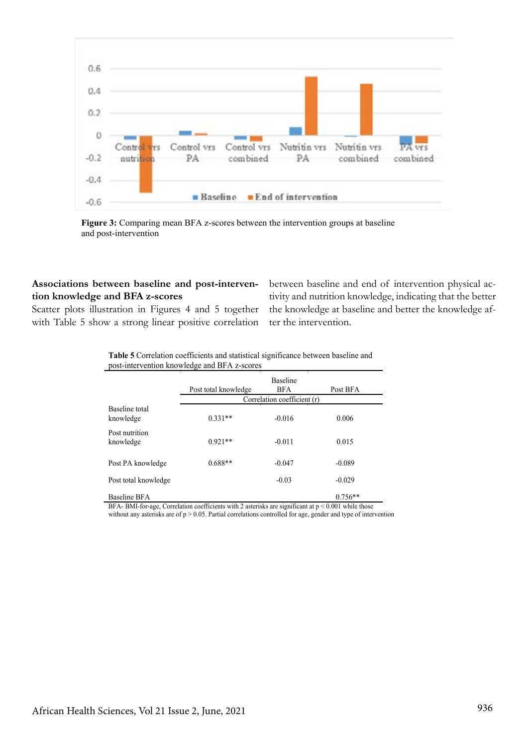

**Figure 3:** Comparing mean BFA z-scores between the intervention groups at baseline and post-intervention

## **Associations between baseline and post-intervention knowledge and BFA z-scores**

Scatter plots illustration in Figures 4 and 5 together with Table 5 show a strong linear positive correlation between baseline and end of intervention physical activity and nutrition knowledge, indicating that the better the knowledge at baseline and better the knowledge after the intervention.

**Table 5** Correlation coefficients and statistical significance between baseline and post-intervention knowledge and BFA z-scores

|                             | Post total knowledge | <b>Baseline</b><br><b>BFA</b><br>Correlation coefficient (r) | Post BFA  |
|-----------------------------|----------------------|--------------------------------------------------------------|-----------|
| Baseline total<br>knowledge | $0.331**$            | $-0.016$                                                     | 0.006     |
| Post nutrition<br>knowledge | $0.921**$            | $-0.011$                                                     | 0.015     |
| Post PA knowledge           | $0.688**$            | $-0.047$                                                     | $-0.089$  |
| Post total knowledge        |                      | $-0.03$                                                      | $-0.029$  |
| Baseline BFA                |                      |                                                              | $0.756**$ |

BFA- BMI-for-age, Correlation coefficients with 2 asterisks are significant at p < 0.001 while those without any asterisks are of p > 0.05. Partial correlations controlled for age, gender and type of intervention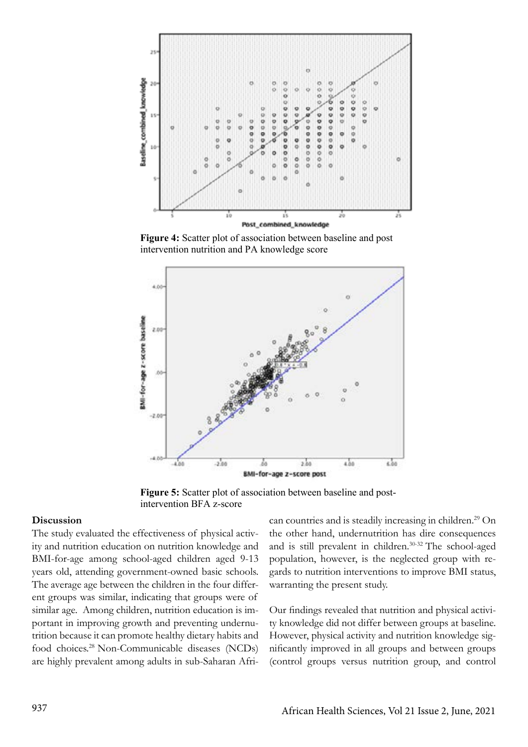

**Figure 4:** Scatter plot of association between baseline and post intervention nutrition and PA knowledge score



Figure 5: Scatter plot of association between baseline and postintervention BFA z-score

#### **Discussion**

The study evaluated the effectiveness of physical activity and nutrition education on nutrition knowledge and BMI-for-age among school-aged children aged 9-13 years old, attending government-owned basic schools. The average age between the children in the four different groups was similar, indicating that groups were of similar age. Among children, nutrition education is important in improving growth and preventing undernutrition because it can promote healthy dietary habits and food choices.28 Non-Communicable diseases (NCDs) are highly prevalent among adults in sub-Saharan Afri-

can countries and is steadily increasing in children.<sup>29</sup> On the other hand, undernutrition has dire consequences and is still prevalent in children.<sup>30-32</sup> The school-aged population, however, is the neglected group with regards to nutrition interventions to improve BMI status, warranting the present study.

Our findings revealed that nutrition and physical activity knowledge did not differ between groups at baseline. However, physical activity and nutrition knowledge significantly improved in all groups and between groups (control groups versus nutrition group, and control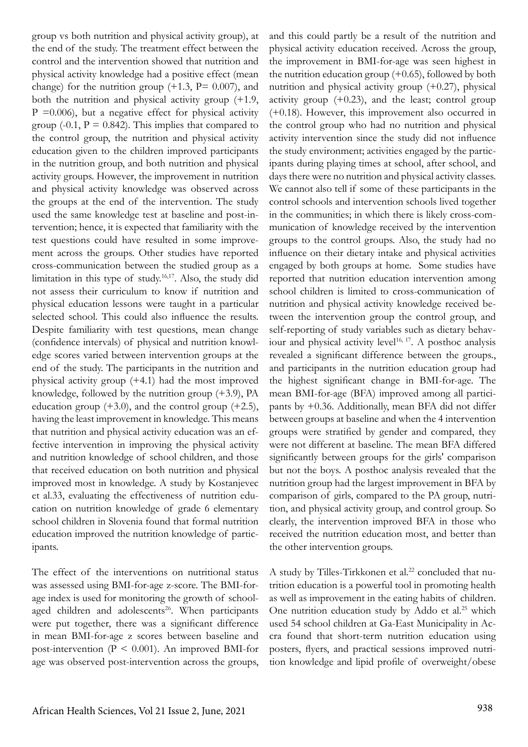group vs both nutrition and physical activity group), at the end of the study. The treatment effect between the control and the intervention showed that nutrition and physical activity knowledge had a positive effect (mean change) for the nutrition group  $(+1.3, P= 0.007)$ , and both the nutrition and physical activity group (+1.9,  $P = 0.006$ , but a negative effect for physical activity group (-0.1,  $P = 0.842$ ). This implies that compared to the control group, the nutrition and physical activity education given to the children improved participants in the nutrition group, and both nutrition and physical activity groups. However, the improvement in nutrition and physical activity knowledge was observed across the groups at the end of the intervention. The study used the same knowledge test at baseline and post-intervention; hence, it is expected that familiarity with the test questions could have resulted in some improvement across the groups. Other studies have reported cross-communication between the studied group as a limitation in this type of study.16,17. Also, the study did not assess their curriculum to know if nutrition and physical education lessons were taught in a particular selected school. This could also influence the results. Despite familiarity with test questions, mean change (confidence intervals) of physical and nutrition knowledge scores varied between intervention groups at the end of the study. The participants in the nutrition and physical activity group (+4.1) had the most improved knowledge, followed by the nutrition group (+3.9), PA education group  $(+3.0)$ , and the control group  $(+2.5)$ , having the least improvement in knowledge. This means that nutrition and physical activity education was an effective intervention in improving the physical activity and nutrition knowledge of school children, and those that received education on both nutrition and physical improved most in knowledge. A study by Kostanjevec et al.33, evaluating the effectiveness of nutrition education on nutrition knowledge of grade 6 elementary school children in Slovenia found that formal nutrition education improved the nutrition knowledge of participants.

The effect of the interventions on nutritional status was assessed using BMI-for-age z-score. The BMI-forage index is used for monitoring the growth of schoolaged children and adolescents $26$ . When participants were put together, there was a significant difference in mean BMI-for-age z scores between baseline and post-intervention ( $P \le 0.001$ ). An improved BMI-for age was observed post-intervention across the groups, and this could partly be a result of the nutrition and physical activity education received. Across the group, the improvement in BMI-for-age was seen highest in the nutrition education group  $(+0.65)$ , followed by both nutrition and physical activity group (+0.27), physical activity group (+0.23), and the least; control group (+0.18). However, this improvement also occurred in the control group who had no nutrition and physical activity intervention since the study did not influence the study environment; activities engaged by the participants during playing times at school, after school, and days there were no nutrition and physical activity classes. We cannot also tell if some of these participants in the control schools and intervention schools lived together in the communities; in which there is likely cross-communication of knowledge received by the intervention groups to the control groups. Also, the study had no influence on their dietary intake and physical activities engaged by both groups at home. Some studies have reported that nutrition education intervention among school children is limited to cross-communication of nutrition and physical activity knowledge received between the intervention group the control group, and self-reporting of study variables such as dietary behaviour and physical activity level<sup>16, 17</sup>. A posthoc analysis revealed a significant difference between the groups., and participants in the nutrition education group had the highest significant change in BMI-for-age. The mean BMI-for-age (BFA) improved among all participants by +0.36. Additionally, mean BFA did not differ between groups at baseline and when the 4 intervention groups were stratified by gender and compared, they were not different at baseline. The mean BFA differed significantly between groups for the girls' comparison but not the boys. A posthoc analysis revealed that the nutrition group had the largest improvement in BFA by comparison of girls, compared to the PA group, nutrition, and physical activity group, and control group. So clearly, the intervention improved BFA in those who received the nutrition education most, and better than the other intervention groups.

A study by Tilles-Tirkkonen et al.<sup>22</sup> concluded that nutrition education is a powerful tool in promoting health as well as improvement in the eating habits of children. One nutrition education study by Addo et al.<sup>25</sup> which used 54 school children at Ga-East Municipality in Accra found that short-term nutrition education using posters, flyers, and practical sessions improved nutrition knowledge and lipid profile of overweight/obese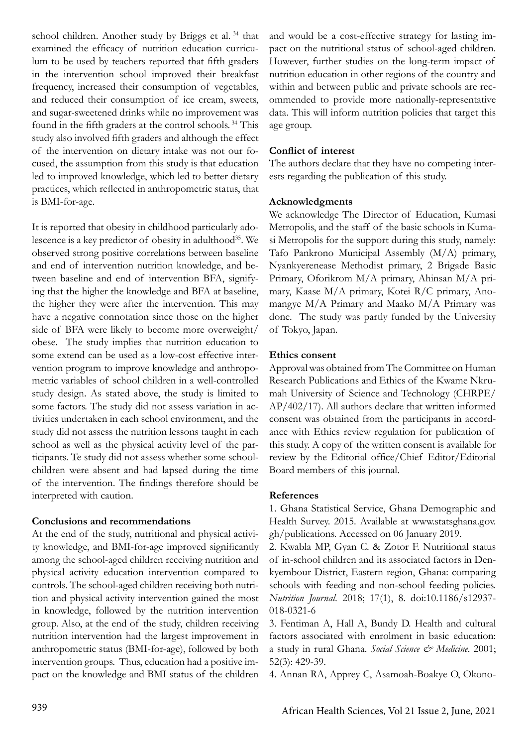school children. Another study by Briggs et al. 34 that examined the efficacy of nutrition education curriculum to be used by teachers reported that fifth graders in the intervention school improved their breakfast frequency, increased their consumption of vegetables, and reduced their consumption of ice cream, sweets, and sugar-sweetened drinks while no improvement was found in the fifth graders at the control schools. 34 This study also involved fifth graders and although the effect of the intervention on dietary intake was not our focused, the assumption from this study is that education led to improved knowledge, which led to better dietary practices, which reflected in anthropometric status, that is BMI-for-age.

It is reported that obesity in childhood particularly adolescence is a key predictor of obesity in adulthood<sup>35</sup>. We observed strong positive correlations between baseline and end of intervention nutrition knowledge, and between baseline and end of intervention BFA, signifying that the higher the knowledge and BFA at baseline, the higher they were after the intervention. This may have a negative connotation since those on the higher side of BFA were likely to become more overweight/ obese. The study implies that nutrition education to some extend can be used as a low-cost effective intervention program to improve knowledge and anthropometric variables of school children in a well-controlled study design. As stated above, the study is limited to some factors. The study did not assess variation in activities undertaken in each school environment, and the study did not assess the nutrition lessons taught in each school as well as the physical activity level of the participants. Te study did not assess whether some schoolchildren were absent and had lapsed during the time of the intervention. The findings therefore should be interpreted with caution.

### **Conclusions and recommendations**

At the end of the study, nutritional and physical activity knowledge, and BMI-for-age improved significantly among the school-aged children receiving nutrition and physical activity education intervention compared to controls. The school-aged children receiving both nutrition and physical activity intervention gained the most in knowledge, followed by the nutrition intervention group. Also, at the end of the study, children receiving nutrition intervention had the largest improvement in anthropometric status (BMI-for-age), followed by both intervention groups. Thus, education had a positive impact on the knowledge and BMI status of the children and would be a cost-effective strategy for lasting impact on the nutritional status of school-aged children. However, further studies on the long-term impact of nutrition education in other regions of the country and within and between public and private schools are recommended to provide more nationally-representative data. This will inform nutrition policies that target this age group.

#### **Conflict of interest**

The authors declare that they have no competing interests regarding the publication of this study.

#### **Acknowledgments**

We acknowledge The Director of Education, Kumasi Metropolis, and the staff of the basic schools in Kumasi Metropolis for the support during this study, namely: Tafo Pankrono Municipal Assembly (M/A) primary, Nyankyerenease Methodist primary, 2 Brigade Basic Primary, Oforikrom M/A primary, Ahinsan M/A primary, Kaase M/A primary, Kotei R/C primary, Anomangye M/A Primary and Maako M/A Primary was done. The study was partly funded by the University of Tokyo, Japan.

#### **Ethics consent**

Approval was obtained from The Committee on Human Research Publications and Ethics of the Kwame Nkrumah University of Science and Technology (CHRPE/ AP/402/17). All authors declare that written informed consent was obtained from the participants in accordance with Ethics review regulation for publication of this study. A copy of the written consent is available for review by the Editorial office/Chief Editor/Editorial Board members of this journal.

### **References**

1. Ghana Statistical Service, Ghana Demographic and Health Survey. 2015. Available at www.statsghana.gov. gh/publications. Accessed on 06 January 2019.

2. Kwabla MP, Gyan C. & Zotor F. Nutritional status of in-school children and its associated factors in Denkyembour District, Eastern region, Ghana: comparing schools with feeding and non-school feeding policies. *Nutrition Journal*. 2018; 17(1), 8. doi:10.1186/s12937- 018-0321-6

3. Fentiman A, Hall A, Bundy D. Health and cultural factors associated with enrolment in basic education: a study in rural Ghana. *Social Science & Medicine*. 2001; 52(3): 429-39.

4. Annan RA, Apprey C, Asamoah-Boakye O, Okono-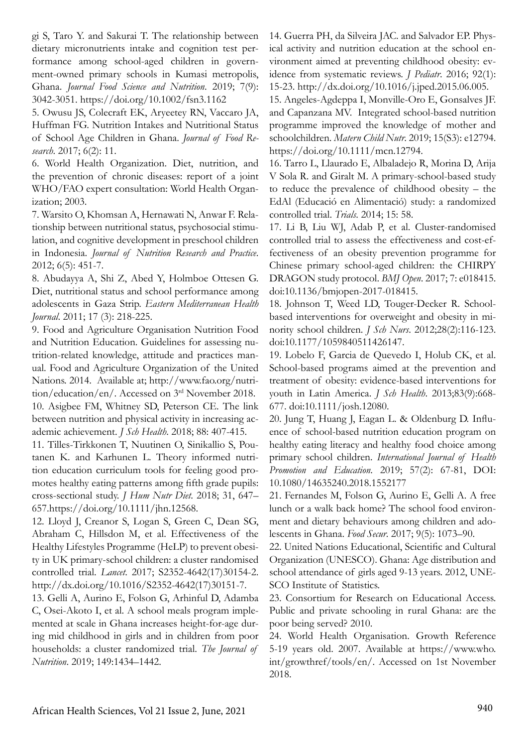gi S, Taro Y. and Sakurai T. The relationship between dietary micronutrients intake and cognition test performance among school-aged children in government-owned primary schools in Kumasi metropolis, Ghana. *Journal Food Science and Nutrition*. 2019; 7(9): 3042-3051. https://doi.org/10.1002/fsn3.1162

5. Owusu JS, Colecraft EK, Aryeetey RN, Vaccaro JA, Huffman FG. Nutrition Intakes and Nutritional Status of School Age Children in Ghana. *Journal of Food Research*. 2017; 6(2): 11.

6. World Health Organization. Diet, nutrition, and the prevention of chronic diseases: report of a joint WHO/FAO expert consultation: World Health Organization; 2003.

7. Warsito O, Khomsan A, Hernawati N, Anwar F. Relationship between nutritional status, psychosocial stimulation, and cognitive development in preschool children in Indonesia. *Journal of Nutrition Research and Practice*. 2012; 6(5): 451-7.

8. Abudayya A, Shi Z, Abed Y, Holmboe Ottesen G. Diet, nutritional status and school performance among adolescents in Gaza Strip. *Eastern Mediterranean Health Journal*. 2011; 17 (3): 218-225.

9. Food and Agriculture Organisation Nutrition Food and Nutrition Education. Guidelines for assessing nutrition-related knowledge, attitude and practices manual. Food and Agriculture Organization of the United Nations. 2014. Available at; http://www.fao.org/nutrition/education/en/. Accessed on 3rd November 2018. 10. Asigbee FM, Whitney SD, Peterson CE. The link between nutrition and physical activity in increasing academic achievement. *J Sch Health*. 2018; 88: 407-415.

11. Tilles-Tirkkonen T, Nuutinen O, Sinikallio S, Poutanen K. and Karhunen L. Theory informed nutrition education curriculum tools for feeling good promotes healthy eating patterns among fifth grade pupils: cross-sectional study. *J Hum Nutr Diet*. 2018; 31, 647– 657.https://doi.org/10.1111/jhn.12568.

12. Lloyd J, Creanor S, Logan S, Green C, Dean SG, Abraham C, Hillsdon M, et al. Effectiveness of the Healthy Lifestyles Programme (HeLP) to prevent obesity in UK primary-school children: a cluster randomised controlled trial. *Lancet*. 2017; S2352-4642(17)30154-2. http://dx.doi.org/10.1016/S2352-4642(17)30151-7.

13. Gelli A, Aurino E, Folson G, Arhinful D, Adamba C, Osei-Akoto I, et al. A school meals program implemented at scale in Ghana increases height-for-age during mid childhood in girls and in children from poor households: a cluster randomized trial. *The Journal of Nutrition*. 2019; 149:1434–1442.

14. Guerra PH, da Silveira JAC. and Salvador EP. Physical activity and nutrition education at the school environment aimed at preventing childhood obesity: evidence from systematic reviews. *J Pediatr*. 2016; 92(1): 15-23. http://dx.doi.org/10.1016/j.jped.2015.06.005.

15. Angeles-Agdeppa I, Monville-Oro E, Gonsalves JF. and Capanzana MV. Integrated school-based nutrition programme improved the knowledge of mother and schoolchildren. *Matern Child Nutr*. 2019; 15(S3): e12794. https://doi.org/10.1111/mcn.12794.

16. Tarro L, Llaurado E, Albaladejo R, Morina D, Arija V Sola R. and Giralt M. A primary-school-based study to reduce the prevalence of childhood obesity – the EdAl (Educació en Alimentació) study: a randomized controlled trial. *Trials*. 2014; 15: 58.

17. Li B, Liu WJ, Adab P, et al. Cluster-randomised controlled trial to assess the effectiveness and cost-effectiveness of an obesity prevention programme for Chinese primary school-aged children: the CHIRPY DRAGON study protocol. *BMJ Open*. 2017; 7: e018415. doi:10.1136/bmjopen-2017-018415.

18. Johnson T, Weed LD, Touger-Decker R. Schoolbased interventions for overweight and obesity in minority school children. *J Sch Nurs*. 2012;28(2):116-123. doi:10.1177/1059840511426147.

19. Lobelo F, Garcia de Quevedo I, Holub CK, et al. School-based programs aimed at the prevention and treatment of obesity: evidence-based interventions for youth in Latin America. *J Sch Health*. 2013;83(9):668- 677. doi:10.1111/josh.12080.

20. Jung T, Huang J, Eagan L. & Oldenburg D. Influence of school-based nutrition education program on healthy eating literacy and healthy food choice among primary school children. *International Journal of Health Promotion and Education*. 2019; 57(2): 67-81, DOI: 10.1080/14635240.2018.1552177

21. Fernandes M, Folson G, Aurino E, Gelli A. A free lunch or a walk back home? The school food environment and dietary behaviours among children and adolescents in Ghana. *Food Secur*. 2017; 9(5): 1073–90.

22. United Nations Educational, Scientific and Cultural Organization (UNESCO). Ghana: Age distribution and school attendance of girls aged 9-13 years. 2012, UNE-SCO Institute of Statistics.

23. Consortium for Research on Educational Access. Public and private schooling in rural Ghana: are the poor being served? 2010.

24. World Health Organisation. Growth Reference 5-19 years old. 2007. Available at https://www.who. int/growthref/tools/en/. Accessed on 1st November 2018.